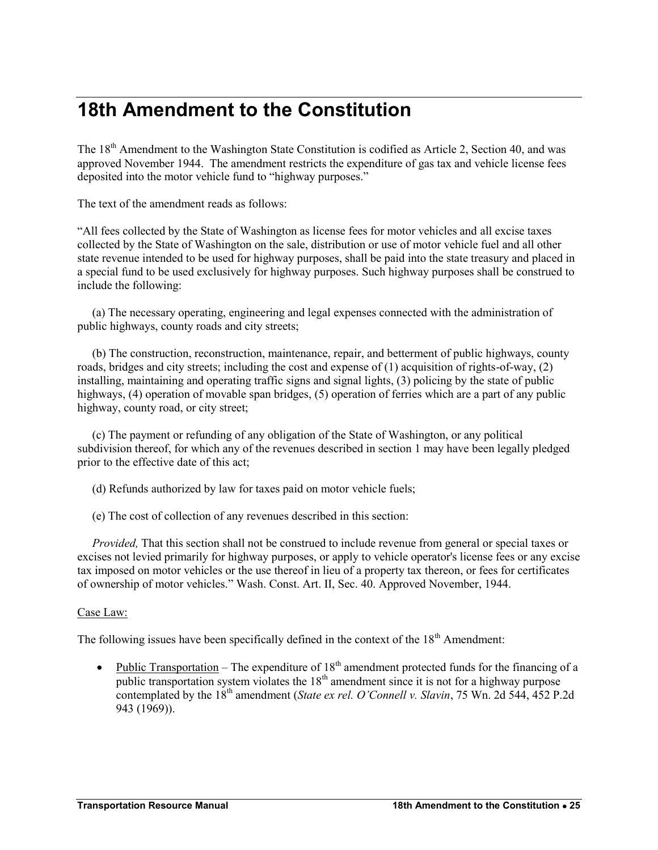## **18th Amendment to the Constitution**

The 18<sup>th</sup> Amendment to the Washington State Constitution is codified as Article 2, Section 40, and was approved November 1944. The amendment restricts the expenditure of gas tax and vehicle license fees deposited into the motor vehicle fund to "highway purposes."

The text of the amendment reads as follows:

"All fees collected by the State of Washington as license fees for motor vehicles and all excise taxes collected by the State of Washington on the sale, distribution or use of motor vehicle fuel and all other state revenue intended to be used for highway purposes, shall be paid into the state treasury and placed in a special fund to be used exclusively for highway purposes. Such highway purposes shall be construed to include the following:

 (a) The necessary operating, engineering and legal expenses connected with the administration of public highways, county roads and city streets;

 (b) The construction, reconstruction, maintenance, repair, and betterment of public highways, county roads, bridges and city streets; including the cost and expense of (1) acquisition of rights-of-way, (2) installing, maintaining and operating traffic signs and signal lights, (3) policing by the state of public highways, (4) operation of movable span bridges, (5) operation of ferries which are a part of any public highway, county road, or city street;

 (c) The payment or refunding of any obligation of the State of Washington, or any political subdivision thereof, for which any of the revenues described in section 1 may have been legally pledged prior to the effective date of this act;

- (d) Refunds authorized by law for taxes paid on motor vehicle fuels;
- (e) The cost of collection of any revenues described in this section:

*Provided*, That this section shall not be construed to include revenue from general or special taxes or excises not levied primarily for highway purposes, or apply to vehicle operator's license fees or any excise tax imposed on motor vehicles or the use thereof in lieu of a property tax thereon, or fees for certificates of ownership of motor vehicles." Wash. Const. Art. II, Sec. 40. Approved November, 1944.

## Case Law:

The following issues have been specifically defined in the context of the  $18<sup>th</sup>$  Amendment:

• Public Transportation – The expenditure of  $18<sup>th</sup>$  amendment protected funds for the financing of a public transportation system violates the  $18<sup>th</sup>$  amendment since it is not for a highway purpose contemplated by the 18<sup>th</sup> amendment (*State ex rel. O'Connell v. Slavin*, 75 Wn. 2d 544, 452 P.2d 943 (1969)).